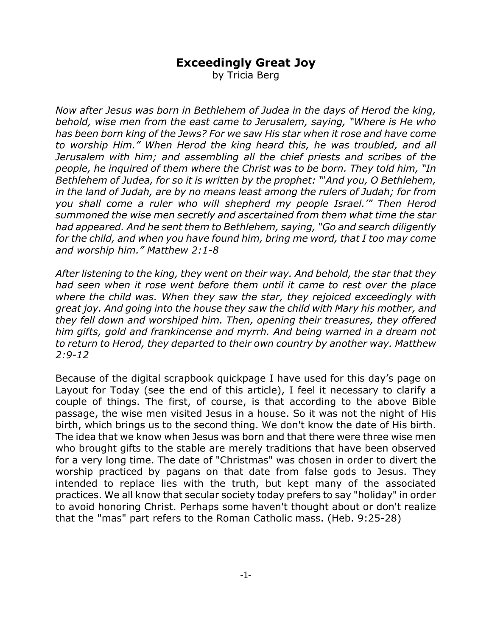## **Exceedingly Great Joy**

by Tricia Berg

*Now after Jesus was born in Bethlehem of Judea in the days of Herod the king, behold, wise men from the east came to Jerusalem, saying, "Where is He who has been born king of the Jews? For we saw His star when it rose and have come to worship Him." When Herod the king heard this, he was troubled, and all Jerusalem with him; and assembling all the chief priests and scribes of the people, he inquired of them where the Christ was to be born. They told him, "In Bethlehem of Judea, for so it is written by the prophet: "'And you, O Bethlehem, in the land of Judah, are by no means least among the rulers of Judah; for from you shall come a ruler who will shepherd my people Israel.'" Then Herod summoned the wise men secretly and ascertained from them what time the star had appeared. And he sent them to Bethlehem, saying, "Go and search diligently for the child, and when you have found him, bring me word, that I too may come and worship him." Matthew 2:1-8*

*After listening to the king, they went on their way. And behold, the star that they had seen when it rose went before them until it came to rest over the place where the child was. When they saw the star, they rejoiced exceedingly with great joy. And going into the house they saw the child with Mary his mother, and they fell down and worshiped him. Then, opening their treasures, they offered him gifts, gold and frankincense and myrrh. And being warned in a dream not to return to Herod, they departed to their own country by another way. Matthew 2:9-12*

Because of the digital scrapbook quickpage I have used for this day's page on Layout for Today (see the end of this article), I feel it necessary to clarify a couple of things. The first, of course, is that according to the above Bible passage, the wise men visited Jesus in a house. So it was not the night of His birth, which brings us to the second thing. We don't know the date of His birth. The idea that we know when Jesus was born and that there were three wise men who brought gifts to the stable are merely traditions that have been observed for a very long time. The date of "Christmas" was chosen in order to divert the worship practiced by pagans on that date from false gods to Jesus. They intended to replace lies with the truth, but kept many of the associated practices. We all know that secular society today prefers to say "holiday" in order to avoid honoring Christ. Perhaps some haven't thought about or don't realize that the "mas" part refers to the Roman Catholic mass. (Heb. 9:25-28)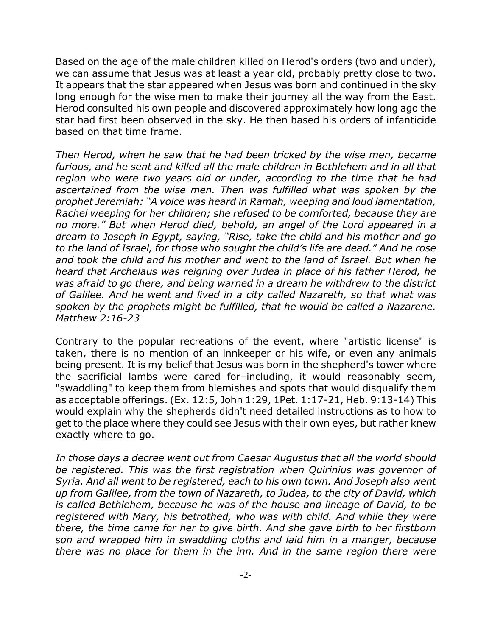Based on the age of the male children killed on Herod's orders (two and under), we can assume that Jesus was at least a year old, probably pretty close to two. It appears that the star appeared when Jesus was born and continued in the sky long enough for the wise men to make their journey all the way from the East. Herod consulted his own people and discovered approximately how long ago the star had first been observed in the sky. He then based his orders of infanticide based on that time frame.

*Then Herod, when he saw that he had been tricked by the wise men, became furious, and he sent and killed all the male children in Bethlehem and in all that region who were two years old or under, according to the time that he had ascertained from the wise men. Then was fulfilled what was spoken by the prophet Jeremiah: "A voice was heard in Ramah, weeping and loud lamentation, Rachel weeping for her children; she refused to be comforted, because they are no more." But when Herod died, behold, an angel of the Lord appeared in a dream to Joseph in Egypt, saying, "Rise, take the child and his mother and go to the land of Israel, for those who sought the child's life are dead." And he rose and took the child and his mother and went to the land of Israel. But when he heard that Archelaus was reigning over Judea in place of his father Herod, he was afraid to go there, and being warned in a dream he withdrew to the district of Galilee. And he went and lived in a city called Nazareth, so that what was spoken by the prophets might be fulfilled, that he would be called a Nazarene. Matthew 2:16-23*

Contrary to the popular recreations of the event, where "artistic license" is taken, there is no mention of an innkeeper or his wife, or even any animals being present. It is my belief that Jesus was born in the shepherd's tower where the sacrificial lambs were cared for–including, it would reasonably seem, "swaddling" to keep them from blemishes and spots that would disqualify them as acceptable offerings. (Ex. 12:5, John 1:29, 1Pet. 1:17-21, Heb. 9:13-14) This would explain why the shepherds didn't need detailed instructions as to how to get to the place where they could see Jesus with their own eyes, but rather knew exactly where to go.

*In those days a decree went out from Caesar Augustus that all the world should be registered. This was the first registration when Quirinius was governor of Syria. And all went to be registered, each to his own town. And Joseph also went up from Galilee, from the town of Nazareth, to Judea, to the city of David, which is called Bethlehem, because he was of the house and lineage of David, to be registered with Mary, his betrothed, who was with child. And while they were there, the time came for her to give birth. And she gave birth to her firstborn son and wrapped him in swaddling cloths and laid him in a manger, because there was no place for them in the inn. And in the same region there were*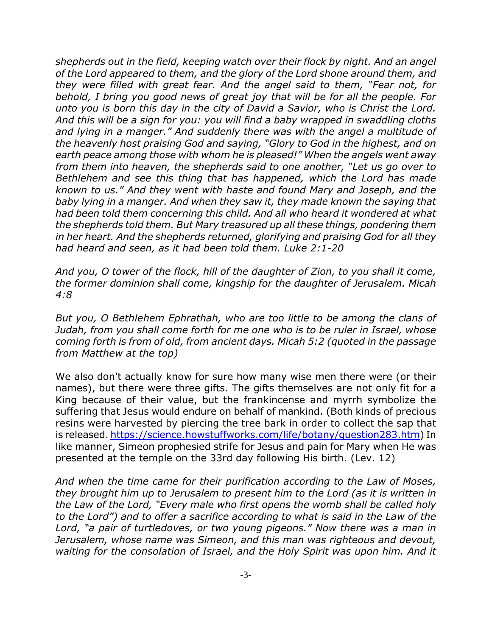*shepherds out in the field, keeping watch over their flock by night. And an angel of the Lord appeared to them, and the glory of the Lord shone around them, and they were filled with great fear. And the angel said to them, "Fear not, for behold, I bring you good news of great joy that will be for all the people. For unto you is born this day in the city of David a Savior, who is Christ the Lord. And this will be a sign for you: you will find a baby wrapped in swaddling cloths and lying in a manger." And suddenly there was with the angel a multitude of the heavenly host praising God and saying, "Glory to God in the highest, and on earth peace among those with whom he is pleased!" When the angels went away from them into heaven, the shepherds said to one another, "Let us go over to Bethlehem and see this thing that has happened, which the Lord has made known to us." And they went with haste and found Mary and Joseph, and the baby lying in a manger. And when they saw it, they made known the saying that had been told them concerning this child. And all who heard it wondered at what the shepherds told them. But Mary treasured up all these things, pondering them in her heart. And the shepherds returned, glorifying and praising God for all they had heard and seen, as it had been told them. Luke 2:1-20*

*And you, O tower of the flock, hill of the daughter of Zion, to you shall it come, the former dominion shall come, kingship for the daughter of Jerusalem. Micah 4:8*

*But you, O Bethlehem Ephrathah, who are too little to be among the clans of Judah, from you shall come forth for me one who is to be ruler in Israel, whose coming forth is from of old, from ancient days. Micah 5:2 (quoted in the passage from Matthew at the top)*

We also don't actually know for sure how many wise men there were (or their names), but there were three gifts. The gifts themselves are not only fit for a King because of their value, but the frankincense and myrrh symbolize the suffering that Jesus would endure on behalf of mankind. (Both kinds of precious resins were harvested by piercing the tree bark in order to collect the sap that is released. https://science.howstuffworks.com/life/botany/question283.htm) In like manner, Simeon prophesied strife for Jesus and pain for Mary when He was presented at the temple on the 33rd day following His birth. (Lev. 12)

*And when the time came for their purification according to the Law of Moses, they brought him up to Jerusalem to present him to the Lord (as it is written in the Law of the Lord, "Every male who first opens the womb shall be called holy to the Lord") and to offer a sacrifice according to what is said in the Law of the Lord, "a pair of turtledoves, or two young pigeons." Now there was a man in Jerusalem, whose name was Simeon, and this man was righteous and devout, waiting for the consolation of Israel, and the Holy Spirit was upon him. And it*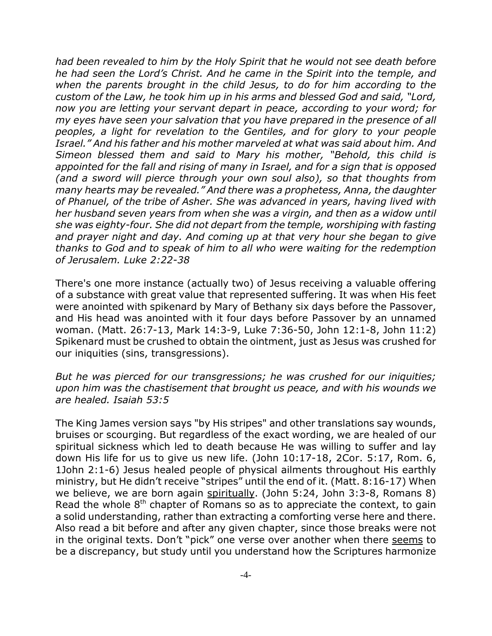*had been revealed to him by the Holy Spirit that he would not see death before he had seen the Lord's Christ. And he came in the Spirit into the temple, and when the parents brought in the child Jesus, to do for him according to the custom of the Law, he took him up in his arms and blessed God and said, "Lord, now you are letting your servant depart in peace, according to your word; for my eyes have seen your salvation that you have prepared in the presence of all peoples, a light for revelation to the Gentiles, and for glory to your people Israel." And his father and his mother marveled at what was said about him. And Simeon blessed them and said to Mary his mother, "Behold, this child is appointed for the fall and rising of many in Israel, and for a sign that is opposed (and a sword will pierce through your own soul also), so that thoughts from many hearts may be revealed." And there was a prophetess, Anna, the daughter of Phanuel, of the tribe of Asher. She was advanced in years, having lived with her husband seven years from when she was a virgin, and then as a widow until she was eighty-four. She did not depart from the temple, worshiping with fasting and prayer night and day. And coming up at that very hour she began to give thanks to God and to speak of him to all who were waiting for the redemption of Jerusalem. Luke 2:22-38*

There's one more instance (actually two) of Jesus receiving a valuable offering of a substance with great value that represented suffering. It was when His feet were anointed with spikenard by Mary of Bethany six days before the Passover, and His head was anointed with it four days before Passover by an unnamed woman. (Matt. 26:7-13, Mark 14:3-9, Luke 7:36-50, John 12:1-8, John 11:2) Spikenard must be crushed to obtain the ointment, just as Jesus was crushed for our iniquities (sins, transgressions).

*But he was pierced for our transgressions; he was crushed for our iniquities; upon him was the chastisement that brought us peace, and with his wounds we are healed. Isaiah 53:5*

The King James version says "by His stripes" and other translations say wounds, bruises or scourging. But regardless of the exact wording, we are healed of our spiritual sickness which led to death because He was willing to suffer and lay down His life for us to give us new life. (John 10:17-18, 2Cor. 5:17, Rom. 6, 1John 2:1-6) Jesus healed people of physical ailments throughout His earthly ministry, but He didn't receive "stripes" until the end of it. (Matt. 8:16-17) When we believe, we are born again spiritually. (John 5:24, John 3:3-8, Romans 8) Read the whole  $8<sup>th</sup>$  chapter of Romans so as to appreciate the context, to gain a solid understanding, rather than extracting a comforting verse here and there. Also read a bit before and after any given chapter, since those breaks were not in the original texts. Don't "pick" one verse over another when there seems to be a discrepancy, but study until you understand how the Scriptures harmonize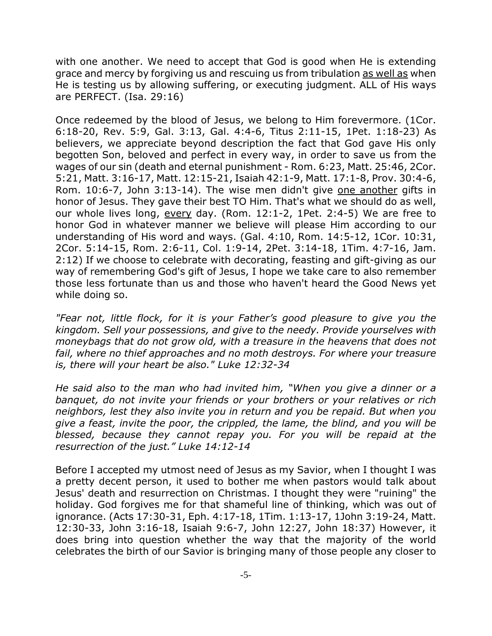with one another. We need to accept that God is good when He is extending grace and mercy by forgiving us and rescuing us from tribulation as well as when He is testing us by allowing suffering, or executing judgment. ALL of His ways are PERFECT. (Isa. 29:16)

Once redeemed by the blood of Jesus, we belong to Him forevermore. (1Cor. 6:18-20, Rev. 5:9, Gal. 3:13, Gal. 4:4-6, Titus 2:11-15, 1Pet. 1:18-23) As believers, we appreciate beyond description the fact that God gave His only begotten Son, beloved and perfect in every way, in order to save us from the wages of our sin (death and eternal punishment - Rom. 6:23, Matt. 25:46, 2Cor. 5:21, Matt. 3:16-17, Matt. 12:15-21, Isaiah 42:1-9, Matt. 17:1-8, Prov. 30:4-6, Rom. 10:6-7, John 3:13-14). The wise men didn't give one another gifts in honor of Jesus. They gave their best TO Him. That's what we should do as well, our whole lives long, every day. (Rom. 12:1-2, 1Pet. 2:4-5) We are free to honor God in whatever manner we believe will please Him according to our understanding of His word and ways. (Gal. 4:10, Rom. 14:5-12, 1Cor. 10:31, 2Cor. 5:14-15, Rom. 2:6-11, Col. 1:9-14, 2Pet. 3:14-18, 1Tim. 4:7-16, Jam. 2:12) If we choose to celebrate with decorating, feasting and gift-giving as our way of remembering God's gift of Jesus, I hope we take care to also remember those less fortunate than us and those who haven't heard the Good News yet while doing so.

*"Fear not, little flock, for it is your Father's good pleasure to give you the kingdom. Sell your possessions, and give to the needy. Provide yourselves with moneybags that do not grow old, with a treasure in the heavens that does not fail, where no thief approaches and no moth destroys. For where your treasure is, there will your heart be also." Luke 12:32-34*

*He said also to the man who had invited him, "When you give a dinner or a banquet, do not invite your friends or your brothers or your relatives or rich neighbors, lest they also invite you in return and you be repaid. But when you give a feast, invite the poor, the crippled, the lame, the blind, and you will be blessed, because they cannot repay you. For you will be repaid at the resurrection of the just." Luke 14:12-14*

Before I accepted my utmost need of Jesus as my Savior, when I thought I was a pretty decent person, it used to bother me when pastors would talk about Jesus' death and resurrection on Christmas. I thought they were "ruining" the holiday. God forgives me for that shameful line of thinking, which was out of ignorance. (Acts 17:30-31, Eph. 4:17-18, 1Tim. 1:13-17, 1John 3:19-24, Matt. 12:30-33, John 3:16-18, Isaiah 9:6-7, John 12:27, John 18:37) However, it does bring into question whether the way that the majority of the world celebrates the birth of our Savior is bringing many of those people any closer to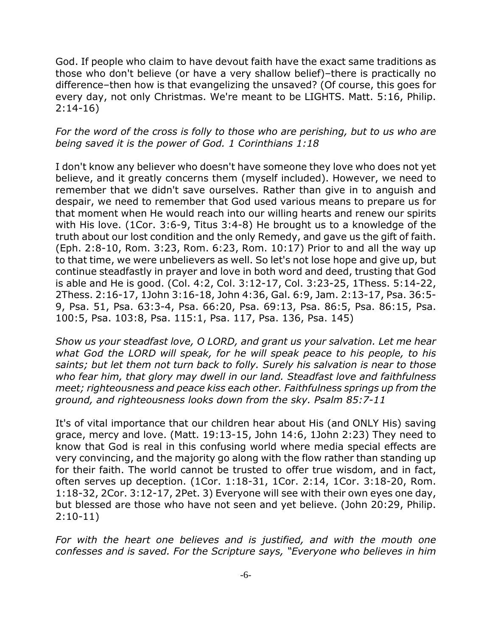God. If people who claim to have devout faith have the exact same traditions as those who don't believe (or have a very shallow belief)–there is practically no difference–then how is that evangelizing the unsaved? (Of course, this goes for every day, not only Christmas. We're meant to be LIGHTS. Matt. 5:16, Philip. 2:14-16)

## *For the word of the cross is folly to those who are perishing, but to us who are being saved it is the power of God. 1 Corinthians 1:18*

I don't know any believer who doesn't have someone they love who does not yet believe, and it greatly concerns them (myself included). However, we need to remember that we didn't save ourselves. Rather than give in to anguish and despair, we need to remember that God used various means to prepare us for that moment when He would reach into our willing hearts and renew our spirits with His love. (1Cor. 3:6-9, Titus 3:4-8) He brought us to a knowledge of the truth about our lost condition and the only Remedy, and gave us the gift of faith. (Eph. 2:8-10, Rom. 3:23, Rom. 6:23, Rom. 10:17) Prior to and all the way up to that time, we were unbelievers as well. So let's not lose hope and give up, but continue steadfastly in prayer and love in both word and deed, trusting that God is able and He is good. (Col. 4:2, Col. 3:12-17, Col. 3:23-25, 1Thess. 5:14-22, 2Thess. 2:16-17, 1John 3:16-18, John 4:36, Gal. 6:9, Jam. 2:13-17, Psa. 36:5- 9, Psa. 51, Psa. 63:3-4, Psa. 66:20, Psa. 69:13, Psa. 86:5, Psa. 86:15, Psa. 100:5, Psa. 103:8, Psa. 115:1, Psa. 117, Psa. 136, Psa. 145)

*Show us your steadfast love, O LORD, and grant us your salvation. Let me hear what God the LORD will speak, for he will speak peace to his people, to his saints; but let them not turn back to folly. Surely his salvation is near to those who fear him, that glory may dwell in our land. Steadfast love and faithfulness meet; righteousness and peace kiss each other. Faithfulness springs up from the ground, and righteousness looks down from the sky. Psalm 85:7-11*

It's of vital importance that our children hear about His (and ONLY His) saving grace, mercy and love. (Matt. 19:13-15, John 14:6, 1John 2:23) They need to know that God is real in this confusing world where media special effects are very convincing, and the majority go along with the flow rather than standing up for their faith. The world cannot be trusted to offer true wisdom, and in fact, often serves up deception. (1Cor. 1:18-31, 1Cor. 2:14, 1Cor. 3:18-20, Rom. 1:18-32, 2Cor. 3:12-17, 2Pet. 3) Everyone will see with their own eyes one day, but blessed are those who have not seen and yet believe. (John 20:29, Philip. 2:10-11)

*For with the heart one believes and is justified, and with the mouth one confesses and is saved. For the Scripture says, "Everyone who believes in him*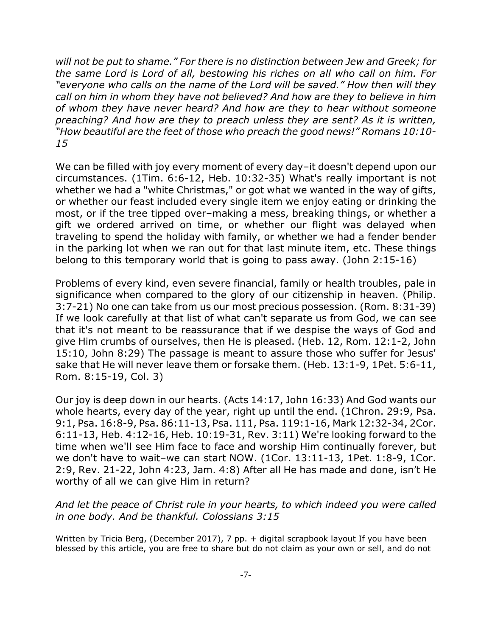*will not be put to shame." For there is no distinction between Jew and Greek; for the same Lord is Lord of all, bestowing his riches on all who call on him. For "everyone who calls on the name of the Lord will be saved." How then will they call on him in whom they have not believed? And how are they to believe in him of whom they have never heard? And how are they to hear without someone preaching? And how are they to preach unless they are sent? As it is written, "How beautiful are the feet of those who preach the good news!" Romans 10:10- 15*

We can be filled with joy every moment of every day–it doesn't depend upon our circumstances. (1Tim. 6:6-12, Heb. 10:32-35) What's really important is not whether we had a "white Christmas," or got what we wanted in the way of gifts, or whether our feast included every single item we enjoy eating or drinking the most, or if the tree tipped over–making a mess, breaking things, or whether a gift we ordered arrived on time, or whether our flight was delayed when traveling to spend the holiday with family, or whether we had a fender bender in the parking lot when we ran out for that last minute item, etc. These things belong to this temporary world that is going to pass away. (John 2:15-16)

Problems of every kind, even severe financial, family or health troubles, pale in significance when compared to the glory of our citizenship in heaven. (Philip. 3:7-21) No one can take from us our most precious possession. (Rom. 8:31-39) If we look carefully at that list of what can't separate us from God, we can see that it's not meant to be reassurance that if we despise the ways of God and give Him crumbs of ourselves, then He is pleased. (Heb. 12, Rom. 12:1-2, John 15:10, John 8:29) The passage is meant to assure those who suffer for Jesus' sake that He will never leave them or forsake them. (Heb. 13:1-9, 1Pet. 5:6-11, Rom. 8:15-19, Col. 3)

Our joy is deep down in our hearts. (Acts 14:17, John 16:33) And God wants our whole hearts, every day of the year, right up until the end. (1Chron. 29:9, Psa. 9:1, Psa. 16:8-9, Psa. 86:11-13, Psa. 111, Psa. 119:1-16, Mark 12:32-34, 2Cor. 6:11-13, Heb. 4:12-16, Heb. 10:19-31, Rev. 3:11) We're looking forward to the time when we'll see Him face to face and worship Him continually forever, but we don't have to wait–we can start NOW. (1Cor. 13:11-13, 1Pet. 1:8-9, 1Cor. 2:9, Rev. 21-22, John 4:23, Jam. 4:8) After all He has made and done, isn't He worthy of all we can give Him in return?

## *And let the peace of Christ rule in your hearts, to which indeed you were called in one body. And be thankful. Colossians 3:15*

Written by Tricia Berg, (December 2017), 7 pp. + digital scrapbook layout If you have been blessed by this article, you are free to share but do not claim as your own or sell, and do not